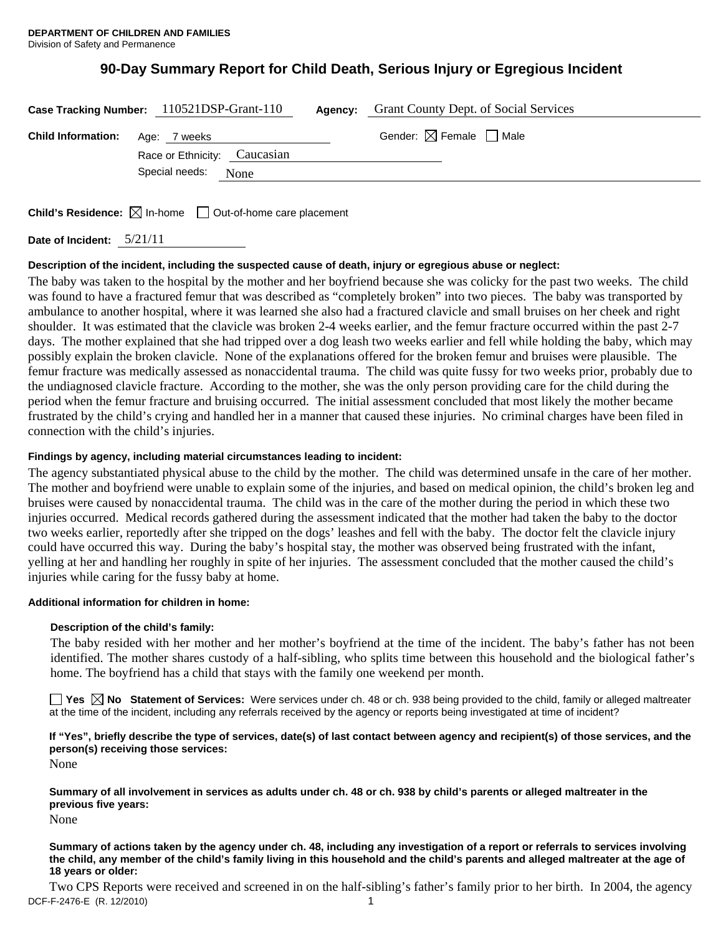# **90-Day Summary Report for Child Death, Serious Injury or Egregious Incident**

| Gender: $\boxtimes$ Female $\Box$ Male<br><b>Child Information:</b> Age: 7 weeks |  |
|----------------------------------------------------------------------------------|--|
| Race or Ethnicity: Caucasian                                                     |  |
| Special needs:<br>None                                                           |  |

**Child's Residence:**  $\boxtimes$  In-home  $\Box$  Out-of-home care placement

**Date of Incident:** 5/21/11

#### **Description of the incident, including the suspected cause of death, injury or egregious abuse or neglect:**

The baby was taken to the hospital by the mother and her boyfriend because she was colicky for the past two weeks. The child was found to have a fractured femur that was described as "completely broken" into two pieces. The baby was transported by ambulance to another hospital, where it was learned she also had a fractured clavicle and small bruises on her cheek and right shoulder. It was estimated that the clavicle was broken 2-4 weeks earlier, and the femur fracture occurred within the past 2-7 days. The mother explained that she had tripped over a dog leash two weeks earlier and fell while holding the baby, which may possibly explain the broken clavicle. None of the explanations offered for the broken femur and bruises were plausible. The femur fracture was medically assessed as nonaccidental trauma. The child was quite fussy for two weeks prior, probably due to the undiagnosed clavicle fracture. According to the mother, she was the only person providing care for the child during the period when the femur fracture and bruising occurred. The initial assessment concluded that most likely the mother became frustrated by the child's crying and handled her in a manner that caused these injuries. No criminal charges have been filed in connection with the child's injuries.

#### **Findings by agency, including material circumstances leading to incident:**

The agency substantiated physical abuse to the child by the mother. The child was determined unsafe in the care of her mother. The mother and boyfriend were unable to explain some of the injuries, and based on medical opinion, the child's broken leg and bruises were caused by nonaccidental trauma. The child was in the care of the mother during the period in which these two injuries occurred. Medical records gathered during the assessment indicated that the mother had taken the baby to the doctor two weeks earlier, reportedly after she tripped on the dogs' leashes and fell with the baby. The doctor felt the clavicle injury could have occurred this way. During the baby's hospital stay, the mother was observed being frustrated with the infant, yelling at her and handling her roughly in spite of her injuries. The assessment concluded that the mother caused the child's injuries while caring for the fussy baby at home.

#### **Additional information for children in home:**

#### **Description of the child's family:**

The baby resided with her mother and her mother's boyfriend at the time of the incident. The baby's father has not been identified. The mother shares custody of a half-sibling, who splits time between this household and the biological father's home. The boyfriend has a child that stays with the family one weekend per month.

■ Yes **No** Statement of Services: Were services under ch. 48 or ch. 938 being provided to the child, family or alleged maltreater at the time of the incident, including any referrals received by the agency or reports being investigated at time of incident?

## **If "Yes", briefly describe the type of services, date(s) of last contact between agency and recipient(s) of those services, and the person(s) receiving those services:**

None

**Summary of all involvement in services as adults under ch. 48 or ch. 938 by child's parents or alleged maltreater in the previous five years:** 

None

#### **Summary of actions taken by the agency under ch. 48, including any investigation of a report or referrals to services involving the child, any member of the child's family living in this household and the child's parents and alleged maltreater at the age of 18 years or older:**

DCF-F-2476-E (R. 12/2010) 1 Two CPS Reports were received and screened in on the half-sibling's father's family prior to her birth. In 2004, the agency